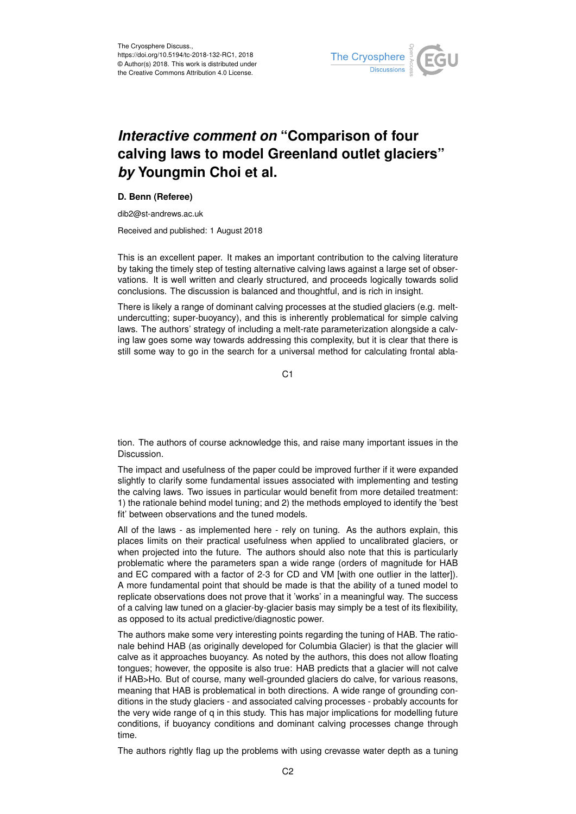

## *Interactive comment on* **"Comparison of four calving laws to model Greenland outlet glaciers"** *by* **Youngmin Choi et al.**

## **D. Benn (Referee)**

dib2@st-andrews.ac.uk

Received and published: 1 August 2018

This is an excellent paper. It makes an important contribution to the calving literature by taking the timely step of testing alternative calving laws against a large set of observations. It is well written and clearly structured, and proceeds logically towards solid conclusions. The discussion is balanced and thoughtful, and is rich in insight.

There is likely a range of dominant calving processes at the studied glaciers (e.g. meltundercutting; super-buoyancy), and this is inherently problematical for simple calving laws. The authors' strategy of including a melt-rate parameterization alongside a calving law goes some way towards addressing this complexity, but it is clear that there is still some way to go in the search for a universal method for calculating frontal abla-

C<sub>1</sub>

tion. The authors of course acknowledge this, and raise many important issues in the Discussion.

The impact and usefulness of the paper could be improved further if it were expanded slightly to clarify some fundamental issues associated with implementing and testing the calving laws. Two issues in particular would benefit from more detailed treatment: 1) the rationale behind model tuning; and 2) the methods employed to identify the 'best fit' between observations and the tuned models.

All of the laws - as implemented here - rely on tuning. As the authors explain, this places limits on their practical usefulness when applied to uncalibrated glaciers, or when projected into the future. The authors should also note that this is particularly problematic where the parameters span a wide range (orders of magnitude for HAB and EC compared with a factor of 2-3 for CD and VM [with one outlier in the latter]). A more fundamental point that should be made is that the ability of a tuned model to replicate observations does not prove that it 'works' in a meaningful way. The success of a calving law tuned on a glacier-by-glacier basis may simply be a test of its flexibility, as opposed to its actual predictive/diagnostic power.

The authors make some very interesting points regarding the tuning of HAB. The rationale behind HAB (as originally developed for Columbia Glacier) is that the glacier will calve as it approaches buoyancy. As noted by the authors, this does not allow floating tongues; however, the opposite is also true: HAB predicts that a glacier will not calve if HAB>Ho. But of course, many well-grounded glaciers do calve, for various reasons, meaning that HAB is problematical in both directions. A wide range of grounding conditions in the study glaciers - and associated calving processes - probably accounts for the very wide range of q in this study. This has major implications for modelling future conditions, if buoyancy conditions and dominant calving processes change through time.

The authors rightly flag up the problems with using crevasse water depth as a tuning